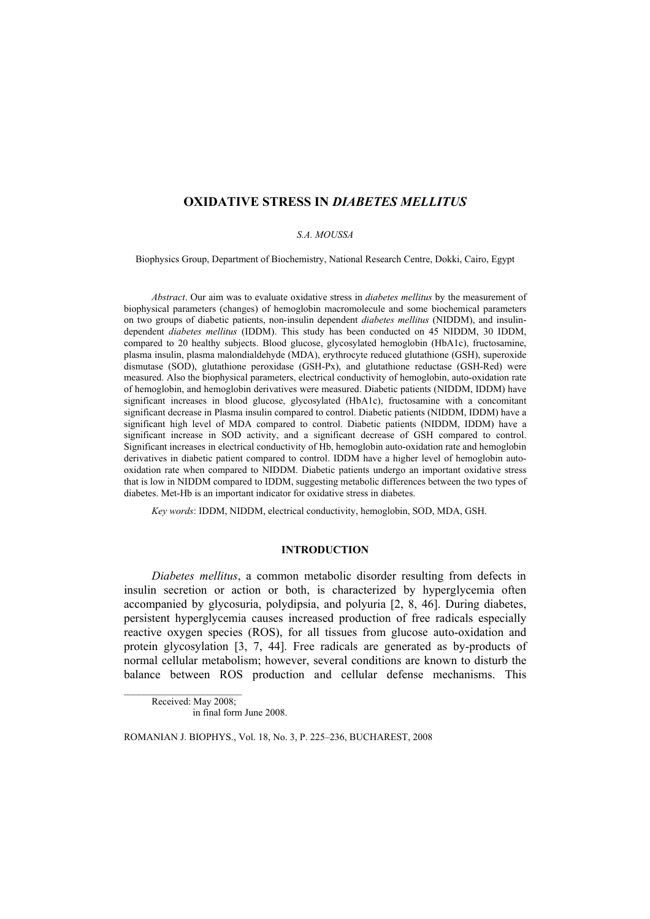# **OXIDATIVE STRESS IN** *DIABETES MELLITUS*

#### *S.A. MOUSSA*

Biophysics Group, Department of Biochemistry, National Research Centre, Dokki, Cairo, Egypt

*Abstract*. Our aim was to evaluate oxidative stress in *diabetes mellitus* by the measurement of biophysical parameters (changes) of hemoglobin macromolecule and some biochemical parameters on two groups of diabetic patients, non-insulin dependent *diabetes mellitus* (NIDDM), and insulindependent *diabetes mellitus* (IDDM). This study has been conducted on 45 NIDDM, 30 IDDM, compared to 20 healthy subjects. Blood glucose, glycosylated hemoglobin (HbA1c), fructosamine, plasma insulin, plasma malondialdehyde (MDA), erythrocyte reduced glutathione (GSH), superoxide dismutase (SOD), glutathione peroxidase (GSH-Px), and glutathione reductase (GSH-Red) were measured. Also the biophysical parameters, electrical conductivity of hemoglobin, auto-oxidation rate of hemoglobin, and hemoglobin derivatives were measured. Diabetic patients (NIDDM, IDDM) have significant increases in blood glucose, glycosylated (HbA1c), fructosamine with a concomitant significant decrease in Plasma insulin compared to control. Diabetic patients (NIDDM, IDDM) have a significant high level of MDA compared to control. Diabetic patients (NIDDM, IDDM) have a significant increase in SOD activity, and a significant decrease of GSH compared to control. Significant increases in electrical conductivity of Hb, hemoglobin auto-oxidation rate and hemoglobin derivatives in diabetic patient compared to control. IDDM have a higher level of hemoglobin autooxidation rate when compared to NIDDM. Diabetic patients undergo an important oxidative stress that is low in NIDDM compared to IDDM, suggesting metabolic differences between the two types of diabetes. Met-Hb is an important indicator for oxidative stress in diabetes.

*Key words*: IDDM, NIDDM, electrical conductivity, hemoglobin, SOD, MDA, GSH.

#### **INTRODUCTION**

*Diabetes mellitus*, a common metabolic disorder resulting from defects in insulin secretion or action or both, is characterized by hyperglycemia often accompanied by glycosuria, polydipsia, and polyuria [2, 8, 46]. During diabetes, persistent hyperglycemia causes increased production of free radicals especially reactive oxygen species (ROS), for all tissues from glucose auto-oxidation and protein glycosylation [3, 7, 44]. Free radicals are generated as by-products of normal cellular metabolism; however, several conditions are known to disturb the balance between ROS production and cellular defense mechanisms. This

Received: May 2008; in final form June 2008.

ROMANIAN J. BIOPHYS., Vol. 18, No. 3, P. 225–236, BUCHAREST, 2008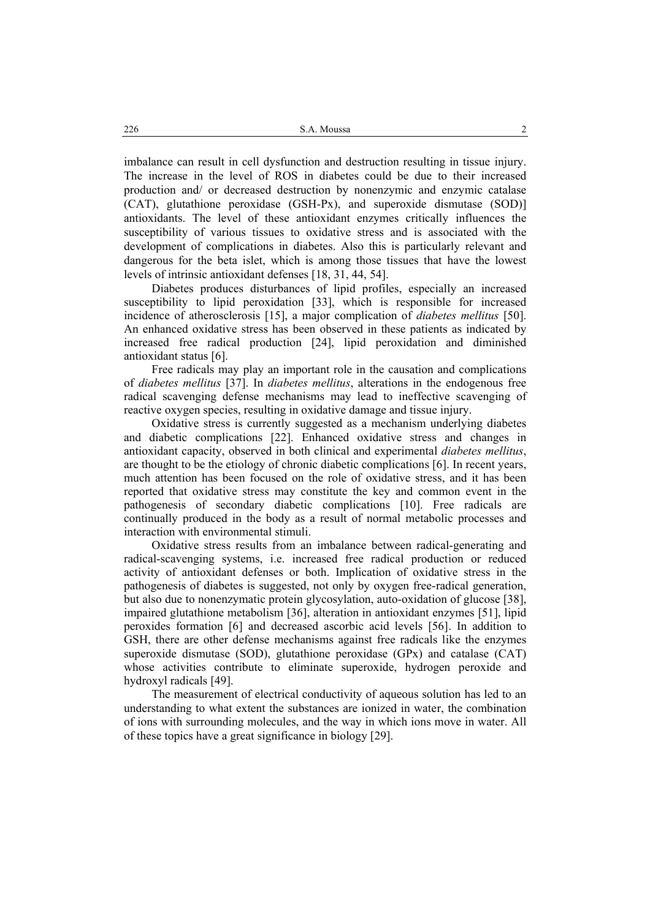imbalance can result in cell dysfunction and destruction resulting in tissue injury. The increase in the level of ROS in diabetes could be due to their increased production and/ or decreased destruction by nonenzymic and enzymic catalase (CAT), glutathione peroxidase (GSH-Px), and superoxide dismutase (SOD)] antioxidants. The level of these antioxidant enzymes critically influences the susceptibility of various tissues to oxidative stress and is associated with the development of complications in diabetes. Also this is particularly relevant and dangerous for the beta islet, which is among those tissues that have the lowest levels of intrinsic antioxidant defenses [18, 31, 44, 54].

Diabetes produces disturbances of lipid profiles, especially an increased susceptibility to lipid peroxidation [33], which is responsible for increased incidence of atherosclerosis [15], a major complication of *diabetes mellitus* [50]. An enhanced oxidative stress has been observed in these patients as indicated by increased free radical production [24], lipid peroxidation and diminished antioxidant status [6].

Free radicals may play an important role in the causation and complications of *diabetes mellitus* [37]. In *diabetes mellitus*, alterations in the endogenous free radical scavenging defense mechanisms may lead to ineffective scavenging of reactive oxygen species, resulting in oxidative damage and tissue injury.

Oxidative stress is currently suggested as a mechanism underlying diabetes and diabetic complications [22]. Enhanced oxidative stress and changes in antioxidant capacity, observed in both clinical and experimental *diabetes mellitus*, are thought to be the etiology of chronic diabetic complications [6]. In recent years, much attention has been focused on the role of oxidative stress, and it has been reported that oxidative stress may constitute the key and common event in the pathogenesis of secondary diabetic complications [10]. Free radicals are continually produced in the body as a result of normal metabolic processes and interaction with environmental stimuli.

Oxidative stress results from an imbalance between radical-generating and radical-scavenging systems, i.e. increased free radical production or reduced activity of antioxidant defenses or both. Implication of oxidative stress in the pathogenesis of diabetes is suggested, not only by oxygen free-radical generation, but also due to nonenzymatic protein glycosylation, auto-oxidation of glucose [38], impaired glutathione metabolism [36], alteration in antioxidant enzymes [51], lipid peroxides formation [6] and decreased ascorbic acid levels [56]. In addition to GSH, there are other defense mechanisms against free radicals like the enzymes superoxide dismutase (SOD), glutathione peroxidase (GPx) and catalase (CAT) whose activities contribute to eliminate superoxide, hydrogen peroxide and hydroxyl radicals [49].

The measurement of electrical conductivity of aqueous solution has led to an understanding to what extent the substances are ionized in water, the combination of ions with surrounding molecules, and the way in which ions move in water. All of these topics have a great significance in biology [29].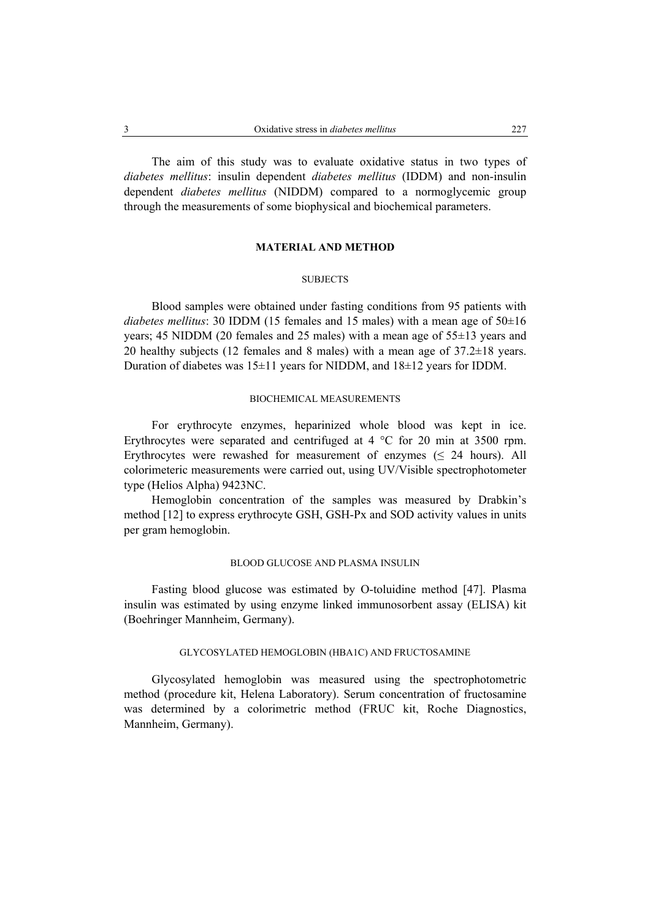The aim of this study was to evaluate oxidative status in two types of *diabetes mellitus*: insulin dependent *diabetes mellitus* (IDDM) and non-insulin dependent *diabetes mellitus* (NIDDM) compared to a normoglycemic group through the measurements of some biophysical and biochemical parameters.

## **MATERIAL AND METHOD**

#### **SUBJECTS**

Blood samples were obtained under fasting conditions from 95 patients with *diabetes mellitus*: 30 IDDM (15 females and 15 males) with a mean age of 50±16 years; 45 NIDDM (20 females and 25 males) with a mean age of 55±13 years and 20 healthy subjects (12 females and 8 males) with a mean age of 37.2±18 years. Duration of diabetes was  $15\pm11$  years for NIDDM, and  $18\pm12$  years for IDDM.

#### BIOCHEMICAL MEASUREMENTS

For erythrocyte enzymes, heparinized whole blood was kept in ice. Erythrocytes were separated and centrifuged at 4 °C for 20 min at 3500 rpm. Erythrocytes were rewashed for measurement of enzymes ( $\leq$  24 hours). All colorimeteric measurements were carried out, using UV/Visible spectrophotometer type (Helios Alpha) 9423NC.

Hemoglobin concentration of the samples was measured by Drabkin's method [12] to express erythrocyte GSH, GSH-Px and SOD activity values in units per gram hemoglobin.

#### BLOOD GLUCOSE AND PLASMA INSULIN

Fasting blood glucose was estimated by O-toluidine method [47]. Plasma insulin was estimated by using enzyme linked immunosorbent assay (ELISA) kit (Boehringer Mannheim, Germany).

## GLYCOSYLATED HEMOGLOBIN (HBA1C) AND FRUCTOSAMINE

Glycosylated hemoglobin was measured using the spectrophotometric method (procedure kit, Helena Laboratory). Serum concentration of fructosamine was determined by a colorimetric method (FRUC kit, Roche Diagnostics, Mannheim, Germany).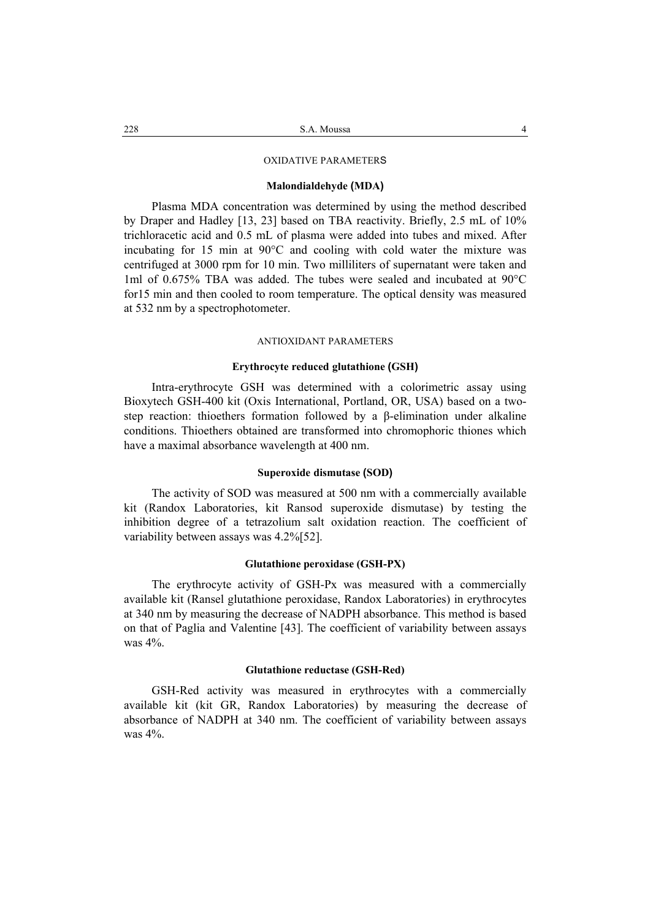## OXIDATIVE PARAMETERS

#### **Malondialdehyde (MDA)**

Plasma MDA concentration was determined by using the method described by Draper and Hadley [13, 23] based on TBA reactivity. Briefly, 2.5 mL of 10% trichloracetic acid and 0.5 mL of plasma were added into tubes and mixed. After incubating for 15 min at 90°C and cooling with cold water the mixture was centrifuged at 3000 rpm for 10 min. Two milliliters of supernatant were taken and 1ml of 0.675% TBA was added. The tubes were sealed and incubated at 90°C for15 min and then cooled to room temperature. The optical density was measured at 532 nm by a spectrophotometer.

## ANTIOXIDANT PARAMETERS

#### **Erythrocyte reduced glutathione (GSH)**

Intra-erythrocyte GSH was determined with a colorimetric assay using Bioxytech GSH-400 kit (Oxis International, Portland, OR, USA) based on a twostep reaction: thioethers formation followed by a β-elimination under alkaline conditions. Thioethers obtained are transformed into chromophoric thiones which have a maximal absorbance wavelength at 400 nm.

## **Superoxide dismutase (SOD)**

The activity of SOD was measured at 500 nm with a commercially available kit (Randox Laboratories, kit Ransod superoxide dismutase) by testing the inhibition degree of a tetrazolium salt oxidation reaction. The coefficient of variability between assays was 4.2%[52].

#### **Glutathione peroxidase (GSH-PX)**

The erythrocyte activity of GSH-Px was measured with a commercially available kit (Ransel glutathione peroxidase, Randox Laboratories) in erythrocytes at 340 nm by measuring the decrease of NADPH absorbance. This method is based on that of Paglia and Valentine [43]. The coefficient of variability between assays was 4%.

#### **Glutathione reductase (GSH-Red)**

GSH-Red activity was measured in erythrocytes with a commercially available kit (kit GR, Randox Laboratories) by measuring the decrease of absorbance of NADPH at 340 nm. The coefficient of variability between assays was 4%.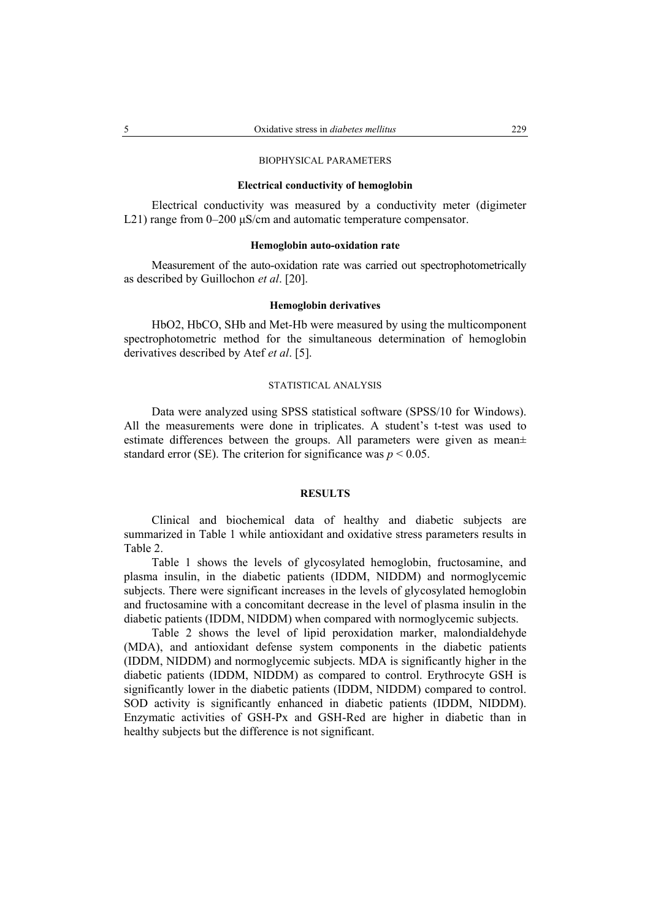## BIOPHYSICAL PARAMETERS

## **Electrical conductivity of hemoglobin**

Electrical conductivity was measured by a conductivity meter (digimeter L21) range from 0–200 μS/cm and automatic temperature compensator.

## **Hemoglobin auto-oxidation rate**

Measurement of the auto-oxidation rate was carried out spectrophotometrically as described by Guillochon *et al*. [20].

## **Hemoglobin derivatives**

HbO2, HbCO, SHb and Met-Hb were measured by using the multicomponent spectrophotometric method for the simultaneous determination of hemoglobin derivatives described by Atef *et al*. [5].

#### STATISTICAL ANALYSIS

Data were analyzed using SPSS statistical software (SPSS/10 for Windows). All the measurements were done in triplicates. A student's t-test was used to estimate differences between the groups. All parameters were given as mean± standard error (SE). The criterion for significance was  $p \le 0.05$ .

#### **RESULTS**

Clinical and biochemical data of healthy and diabetic subjects are summarized in Table 1 while antioxidant and oxidative stress parameters results in Table 2.

Table 1 shows the levels of glycosylated hemoglobin, fructosamine, and plasma insulin, in the diabetic patients (IDDM, NIDDM) and normoglycemic subjects. There were significant increases in the levels of glycosylated hemoglobin and fructosamine with a concomitant decrease in the level of plasma insulin in the diabetic patients (IDDM, NIDDM) when compared with normoglycemic subjects.

Table 2 shows the level of lipid peroxidation marker, malondialdehyde (MDA), and antioxidant defense system components in the diabetic patients (IDDM, NIDDM) and normoglycemic subjects. MDA is significantly higher in the diabetic patients (IDDM, NIDDM) as compared to control. Erythrocyte GSH is significantly lower in the diabetic patients (IDDM, NIDDM) compared to control. SOD activity is significantly enhanced in diabetic patients (IDDM, NIDDM). Enzymatic activities of GSH-Px and GSH-Red are higher in diabetic than in healthy subjects but the difference is not significant.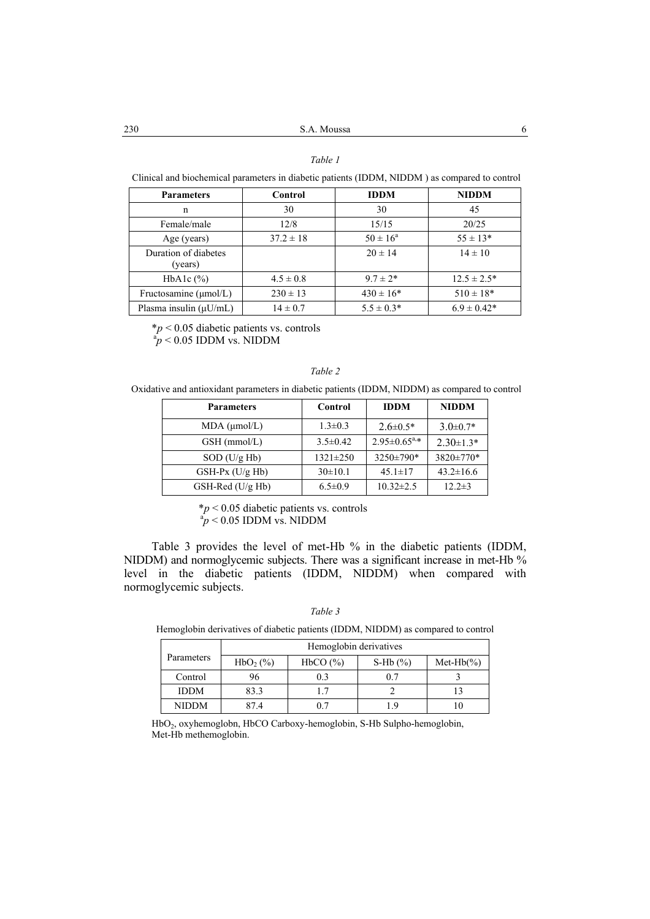## *Table 1*

Clinical and biochemical parameters in diabetic patients (IDDM, NIDDM ) as compared to control

| <b>Parameters</b>               | Control       | <b>IDDM</b>         | <b>NIDDM</b>     |
|---------------------------------|---------------|---------------------|------------------|
| n                               | 30            | 30                  | 45               |
| Female/male                     | 12/8          | 15/15               | 20/25            |
| Age (years)                     | $37.2 \pm 18$ | $50 \pm 16^{\circ}$ | $55 \pm 13*$     |
| Duration of diabetes<br>(years) |               | $20 \pm 14$         | $14 \pm 10$      |
| HbA1c $(\%)$                    | $4.5 \pm 0.8$ | $9.7 \pm 2*$        | $12.5 \pm 2.5^*$ |
| Fructosamine $(\mu$ mol/L)      | $230 \pm 13$  | $430 \pm 16*$       | $510 \pm 18*$    |
| Plasma insulin $(\mu U/mL)$     | $14 \pm 0.7$  | $5.5 \pm 0.3*$      | $6.9 \pm 0.42^*$ |

\**p* < 0.05 diabetic patients vs. controls a*p* < 0.05 IDDM vs. NIDDM

### *Table 2*

Oxidative and antioxidant parameters in diabetic patients (IDDM, NIDDM) as compared to control

| <b>Parameters</b>    | Control        | <b>IDDM</b>           | <b>NIDDM</b>    |
|----------------------|----------------|-----------------------|-----------------|
| $MDA$ ( $\mu$ mol/L) | $1.3 \pm 0.3$  | $2.6 \pm 0.5*$        | $3.0 \pm 0.7*$  |
| GSH (mmol/L)         | $3.5 \pm 0.42$ | $2.95 \pm 0.65^{a,*}$ | $2.30 \pm 1.3*$ |
| $SOD$ (U/g Hb)       | $1321 \pm 250$ | $3250 \pm 790*$       | $3820 \pm 770*$ |
| $GSH-Px$ (U/g Hb)    | $30\pm 10.1$   | $45.1 \pm 17$         | $43.2 \pm 16.6$ |
| GSH-Red (U/g Hb)     | $6.5 \pm 0.9$  | $10.32 \pm 2.5$       | $12.2 \pm 3$    |

\**p* < 0.05 diabetic patients vs. controls a*p* < 0.05 IDDM vs. NIDDM

Table 3 provides the level of met-Hb % in the diabetic patients (IDDM, NIDDM) and normoglycemic subjects. There was a significant increase in met-Hb % level in the diabetic patients (IDDM, NIDDM) when compared with normoglycemic subjects.

| able |  |
|------|--|
|------|--|

Hemoglobin derivatives of diabetic patients (IDDM, NIDDM) as compared to control

|             | Hemoglobin derivatives |          |             |                  |  |
|-------------|------------------------|----------|-------------|------------------|--|
| Parameters  | $HbO2(\%)$             | HbCO (%) | S-Hb $(\%)$ | Met-H $b$ $\%$ ) |  |
| Control     | 96                     | 0.3      | 0.7         |                  |  |
| <b>IDDM</b> | 83.3                   |          |             |                  |  |
| NIDDM       | 87 A                   |          |             |                  |  |

HbO2, oxyhemoglobn, HbCO Carboxy-hemoglobin, S-Hb Sulpho-hemoglobin, Met-Hb methemoglobin.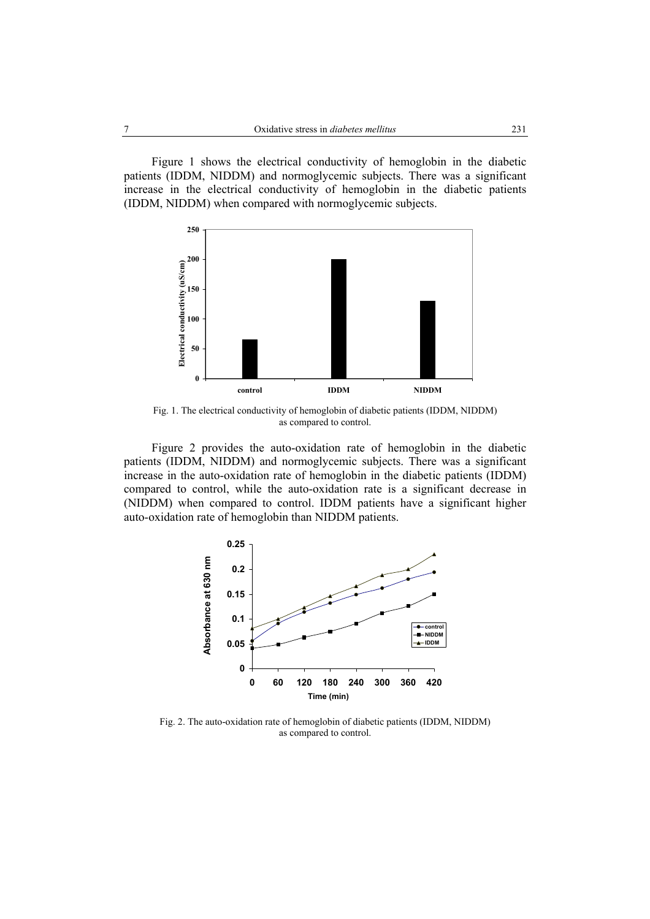Figure 1 shows the electrical conductivity of hemoglobin in the diabetic patients (IDDM, NIDDM) and normoglycemic subjects. There was a significant increase in the electrical conductivity of hemoglobin in the diabetic patients (IDDM, NIDDM) when compared with normoglycemic subjects.



Fig. 1. The electrical conductivity of hemoglobin of diabetic patients (IDDM, NIDDM) as compared to control.

Figure 2 provides the auto-oxidation rate of hemoglobin in the diabetic patients (IDDM, NIDDM) and normoglycemic subjects. There was a significant increase in the auto-oxidation rate of hemoglobin in the diabetic patients (IDDM) compared to control, while the auto-oxidation rate is a significant decrease in (NIDDM) when compared to control. IDDM patients have a significant higher auto-oxidation rate of hemoglobin than NIDDM patients.



Fig. 2. The auto-oxidation rate of hemoglobin of diabetic patients (IDDM, NIDDM) as compared to control.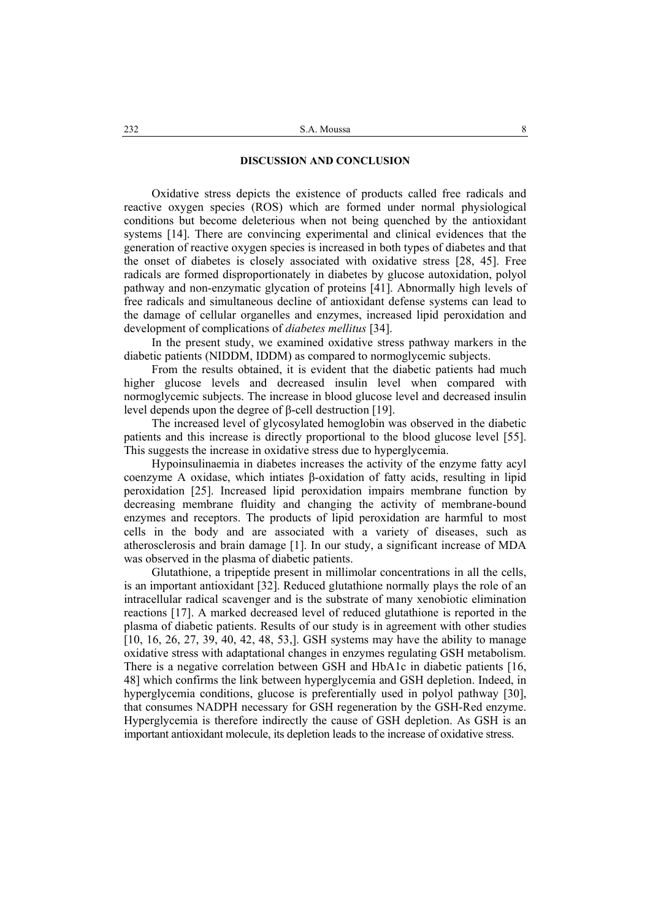### **DISCUSSION AND CONCLUSION**

Oxidative stress depicts the existence of products called free radicals and reactive oxygen species (ROS) which are formed under normal physiological conditions but become deleterious when not being quenched by the antioxidant systems [14]. There are convincing experimental and clinical evidences that the generation of reactive oxygen species is increased in both types of diabetes and that the onset of diabetes is closely associated with oxidative stress [28, 45]. Free radicals are formed disproportionately in diabetes by glucose autoxidation, polyol pathway and non-enzymatic glycation of proteins [41]. Abnormally high levels of free radicals and simultaneous decline of antioxidant defense systems can lead to the damage of cellular organelles and enzymes, increased lipid peroxidation and development of complications of *diabetes mellitus* [34].

In the present study, we examined oxidative stress pathway markers in the diabetic patients (NIDDM, IDDM) as compared to normoglycemic subjects.

From the results obtained, it is evident that the diabetic patients had much higher glucose levels and decreased insulin level when compared with normoglycemic subjects. The increase in blood glucose level and decreased insulin level depends upon the degree of β-cell destruction [19].

The increased level of glycosylated hemoglobin was observed in the diabetic patients and this increase is directly proportional to the blood glucose level [55]. This suggests the increase in oxidative stress due to hyperglycemia.

Hypoinsulinaemia in diabetes increases the activity of the enzyme fatty acyl coenzyme A oxidase, which intiates β-oxidation of fatty acids, resulting in lipid peroxidation [25]. Increased lipid peroxidation impairs membrane function by decreasing membrane fluidity and changing the activity of membrane-bound enzymes and receptors. The products of lipid peroxidation are harmful to most cells in the body and are associated with a variety of diseases, such as atherosclerosis and brain damage [1]. In our study, a significant increase of MDA was observed in the plasma of diabetic patients.

Glutathione, a tripeptide present in millimolar concentrations in all the cells, is an important antioxidant [32]. Reduced glutathione normally plays the role of an intracellular radical scavenger and is the substrate of many xenobiotic elimination reactions [17]. A marked decreased level of reduced glutathione is reported in the plasma of diabetic patients. Results of our study is in agreement with other studies [10, 16, 26, 27, 39, 40, 42, 48, 53,]. GSH systems may have the ability to manage oxidative stress with adaptational changes in enzymes regulating GSH metabolism. There is a negative correlation between GSH and HbA1c in diabetic patients [16, 48] which confirms the link between hyperglycemia and GSH depletion. Indeed, in hyperglycemia conditions, glucose is preferentially used in polyol pathway [30], that consumes NADPH necessary for GSH regeneration by the GSH-Red enzyme. Hyperglycemia is therefore indirectly the cause of GSH depletion. As GSH is an important antioxidant molecule, its depletion leads to the increase of oxidative stress.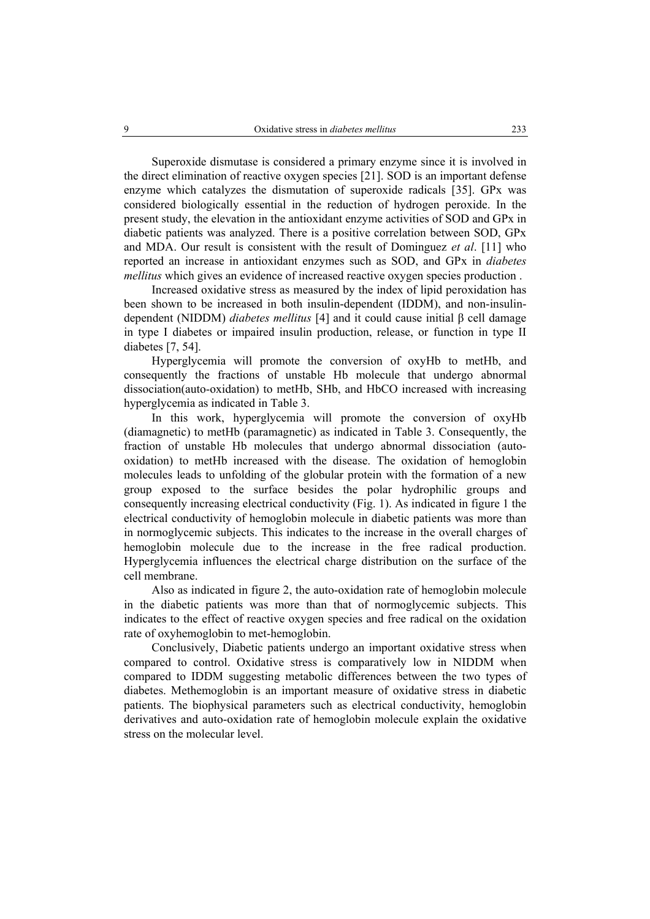Superoxide dismutase is considered a primary enzyme since it is involved in the direct elimination of reactive oxygen species [21]. SOD is an important defense enzyme which catalyzes the dismutation of superoxide radicals [35]. GPx was considered biologically essential in the reduction of hydrogen peroxide. In the present study, the elevation in the antioxidant enzyme activities of SOD and GPx in diabetic patients was analyzed. There is a positive correlation between SOD, GPx and MDA. Our result is consistent with the result of Dominguez *et al*. [11] who reported an increase in antioxidant enzymes such as SOD, and GPx in *diabetes mellitus* which gives an evidence of increased reactive oxygen species production .

Increased oxidative stress as measured by the index of lipid peroxidation has been shown to be increased in both insulin-dependent (IDDM), and non-insulindependent (NIDDM) *diabetes mellitus* [4] and it could cause initial β cell damage in type I diabetes or impaired insulin production, release, or function in type II diabetes [7, 54].

Hyperglycemia will promote the conversion of oxyHb to metHb, and consequently the fractions of unstable Hb molecule that undergo abnormal dissociation(auto-oxidation) to metHb, SHb, and HbCO increased with increasing hyperglycemia as indicated in Table 3.

In this work, hyperglycemia will promote the conversion of oxyHb (diamagnetic) to metHb (paramagnetic) as indicated in Table 3. Consequently, the fraction of unstable Hb molecules that undergo abnormal dissociation (autooxidation) to metHb increased with the disease. The oxidation of hemoglobin molecules leads to unfolding of the globular protein with the formation of a new group exposed to the surface besides the polar hydrophilic groups and consequently increasing electrical conductivity (Fig. 1). As indicated in figure 1 the electrical conductivity of hemoglobin molecule in diabetic patients was more than in normoglycemic subjects. This indicates to the increase in the overall charges of hemoglobin molecule due to the increase in the free radical production. Hyperglycemia influences the electrical charge distribution on the surface of the cell membrane.

Also as indicated in figure 2, the auto-oxidation rate of hemoglobin molecule in the diabetic patients was more than that of normoglycemic subjects. This indicates to the effect of reactive oxygen species and free radical on the oxidation rate of oxyhemoglobin to met-hemoglobin.

Conclusively, Diabetic patients undergo an important oxidative stress when compared to control. Oxidative stress is comparatively low in NIDDM when compared to IDDM suggesting metabolic differences between the two types of diabetes. Methemoglobin is an important measure of oxidative stress in diabetic patients. The biophysical parameters such as electrical conductivity, hemoglobin derivatives and auto-oxidation rate of hemoglobin molecule explain the oxidative stress on the molecular level.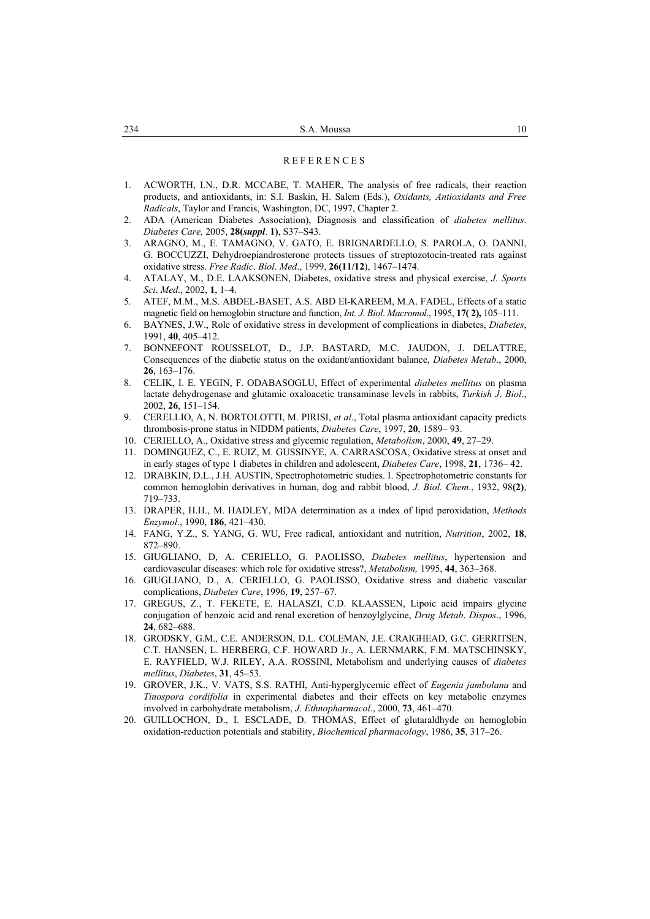#### **REFERENCES**

- 1. ACWORTH, I.N., D.R. MCCABE, T. MAHER, The analysis of free radicals, their reaction products, and antioxidants, in: S.I. Baskin, H. Salem (Eds.), *Oxidants, Antioxidants and Free Radicals*, Taylor and Francis, Washington, DC, 1997, Chapter 2.
- 2. ADA (American Diabetes Association), Diagnosis and classification of *diabetes mellitus*. *Diabetes Care,* 2005, **28(***suppl*. **1)**, S37–S43.
- 3. ARAGNO, M., E. TAMAGNO, V. GATO, E. BRIGNARDELLO, S. PAROLA, O. DANNI, G. BOCCUZZI, Dehydroepiandrosterone protects tissues of streptozotocin-treated rats against oxidative stress. *Free Radic*. *Biol*. *Med*., 1999, **26(11/12**), 1467–1474.
- 4. ATALAY, M., D.E. LAAKSONEN, Diabetes, oxidative stress and physical exercise, *J. Sports Sci*. *Med*., 2002, **1**, 1–4.
- 5. ATEF, M.M., M.S. ABDEL-BASET, A.S. ABD El-KAREEM, M.A. FADEL, Effects of a static magnetic field on hemoglobin structure and function, *Int. J*. *Biol*. *Macromol*., 1995, **17( 2),** 105–111.
- 6. BAYNES, J.W., Role of oxidative stress in development of complications in diabetes, *Diabetes*, 1991, **40**, 405–412.
- 7. BONNEFONT ROUSSELOT, D., J.P. BASTARD, M.C. JAUDON, J. DELATTRE, Consequences of the diabetic status on the oxidant/antioxidant balance, *Diabetes Metab*., 2000, **26**, 163–176.
- 8. CELIK, I. E. YEGIN, F. ODABASOGLU, Effect of experimental *diabetes mellitus* on plasma lactate dehydrogenase and glutamic oxaloacetic transaminase levels in rabbits, *Turkish J*. *Biol*., 2002, **26**, 151–154.
- 9. CERELLIO, A, N. BORTOLOTTI, M. PIRISI, *et al*., Total plasma antioxidant capacity predicts thrombosis-prone status in NIDDM patients, *Diabetes Care*, 1997, **20**, 1589– 93.
- 10. CERIELLO, A., Oxidative stress and glycemic regulation, *Metabolism*, 2000, **49**, 27–29.
- 11. DOMINGUEZ, C., E. RUIZ, M. GUSSINYE, A. CARRASCOSA, Oxidative stress at onset and in early stages of type 1 diabetes in children and adolescent, *Diabetes Care*, 1998, **21**, 1736– 42.
- 12. DRABKIN, D.L., J.H. AUSTIN, Spectrophotometric studies. I. Spectrophotometric constants for common hemoglobin derivatives in human, dog and rabbit blood, *J. Biol. Chem*., 1932, 98**(2)**, 719–733.
- 13. DRAPER, H.H., M. HADLEY, MDA determination as a index of lipid peroxidation, *Methods Enzymol*., 1990, **186**, 421–430.
- 14. FANG, Y.Z., S. YANG, G. WU, Free radical, antioxidant and nutrition, *Nutrition*, 2002, **18**, 872–890.
- 15. GIUGLIANO, D, A. CERIELLO, G. PAOLISSO, *Diabetes mellitus*, hypertension and cardiovascular diseases: which role for oxidative stress?, *Metabolism,* 1995, **44**, 363–368.
- 16. GIUGLIANO, D., A. CERIELLO, G. PAOLISSO, Oxidative stress and diabetic vascular complications, *Diabetes Care*, 1996, **19**, 257–67.
- 17. GREGUS, Z., T. FEKETE, E. HALASZI, C.D. KLAASSEN, Lipoic acid impairs glycine conjugation of benzoic acid and renal excretion of benzoylglycine, *Drug Metab*. *Dispos*., 1996, **24**, 682–688.
- 18. GRODSKY, G.M., C.E. ANDERSON, D.L. COLEMAN, J.E. CRAIGHEAD, G.C. GERRITSEN, C.T. HANSEN, L. HERBERG, C.F. HOWARD Jr., A. LERNMARK, F.M. MATSCHINSKY, E. RAYFIELD, W.J. RILEY, A.A. ROSSINI, Metabolism and underlying causes of *diabetes mellitus*, *Diabetes*, **31**, 45–53.
- 19. GROVER, J.K., V. VATS, S.S. RATHI, Anti-hyperglycemic effect of *Eugenia jambolana* and *Tinospora cordifolia* in experimental diabetes and their effects on key metabolic enzymes involved in carbohydrate metabolism, *J*. *Ethnopharmacol*., 2000, **73**, 461–470.
- 20. GUILLOCHON, D., I. ESCLADE, D. THOMAS, Effect of glutaraldhyde on hemoglobin oxidation-reduction potentials and stability, *Biochemical pharmacology*, 1986, **35**, 317–26.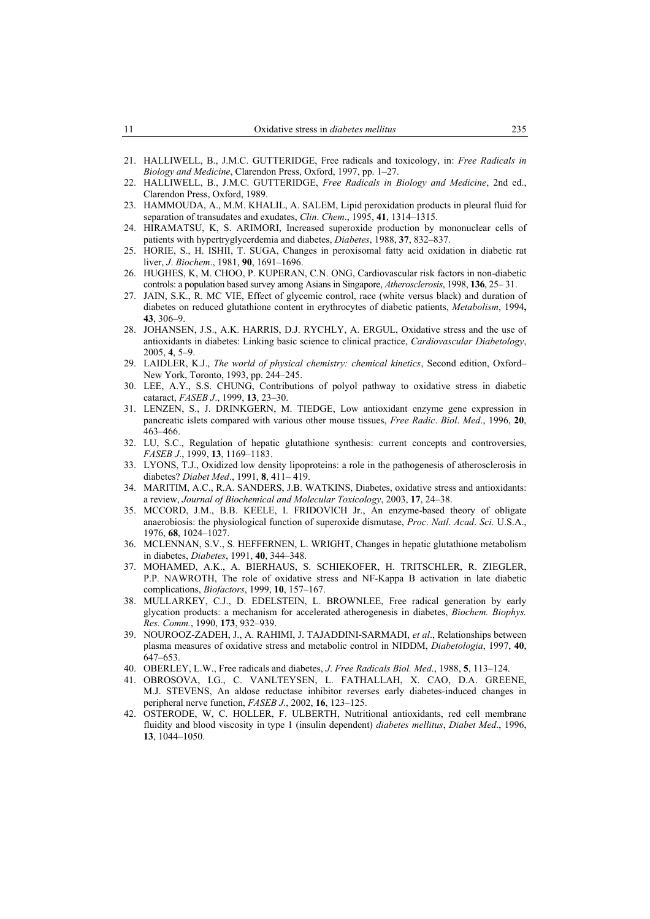- 21. HALLIWELL, B., J.M.C. GUTTERIDGE, Free radicals and toxicology, in: *Free Radicals in Biology and Medicine*, Clarendon Press, Oxford, 1997, pp. 1–27.
- 22. HALLIWELL, B., J.M.C. GUTTERIDGE, *Free Radicals in Biology and Medicine*, 2nd ed., Clarendon Press, Oxford, 1989.
- 23. HAMMOUDA, A., M.M. KHALIL, A. SALEM, Lipid peroxidation products in pleural fluid for separation of transudates and exudates, *Clin*. *Chem*., 1995, **41**, 1314–1315.
- 24. HIRAMATSU, K, S. ARIMORI, Increased superoxide production by mononuclear cells of patients with hypertryglycerdemia and diabetes, *Diabetes*, 1988, **37**, 832–837.
- 25. HORIE, S., H. ISHII, T. SUGA, Changes in peroxisomal fatty acid oxidation in diabetic rat liver, *J*. *Biochem*., 1981, **90**, 1691–1696.
- 26. HUGHES, K, M. CHOO, P. KUPERAN, C.N. ONG, Cardiovascular risk factors in non-diabetic controls: a population based survey among Asians in Singapore, *Atherosclerosis*, 1998, **136**, 25– 31.
- 27. JAIN, S.K., R. MC VIE, Effect of glycemic control, race (white versus black) and duration of diabetes on reduced glutathione content in erythrocytes of diabetic patients, *Metabolism*, 1994**, 43**, 306–9.
- 28. JOHANSEN, J.S., A.K. HARRIS, D.J. RYCHLY, A. ERGUL, Oxidative stress and the use of antioxidants in diabetes: Linking basic science to clinical practice, *Cardiovascular Diabetology*, 2005, **4**, 5–9.
- 29. LAIDLER, K.J., *The world of physical chemistry: chemical kinetics*, Second edition, Oxford– New York, Toronto, 1993, pp. 244–245.
- 30. LEE, A.Y., S.S. CHUNG, Contributions of polyol pathway to oxidative stress in diabetic cataract, *FASEB J*., 1999, **13**, 23–30.
- 31. LENZEN, S., J. DRINKGERN, M. TIEDGE, Low antioxidant enzyme gene expression in pancreatic islets compared with various other mouse tissues, *Free Radic*. *Biol*. *Med*., 1996, **20**, 463–466.
- 32. LU, S.C., Regulation of hepatic glutathione synthesis: current concepts and controversies, *FASEB J*., 1999, **13**, 1169–1183.
- 33. LYONS, T.J., Oxidized low density lipoproteins: a role in the pathogenesis of atherosclerosis in diabetes? *Diabet Med*., 1991, **8**, 411– 419.
- 34. MARITIM, A.C., R.A. SANDERS, J.B. WATKINS, Diabetes, oxidative stress and antioxidants: a review, *Journal of Biochemical and Molecular Toxicology*, 2003, **17**, 24–38.
- 35. MCCORD, J.M., B.B. KEELE, I. FRIDOVICH Jr., An enzyme-based theory of obligate anaerobiosis: the physiological function of superoxide dismutase, *Proc*. *Natl*. *Acad*. *Sci*. U.S.A., 1976, **68**, 1024–1027.
- 36. MCLENNAN, S.V., S. HEFFERNEN, L. WRIGHT, Changes in hepatic glutathione metabolism in diabetes, *Diabetes*, 1991, **40**, 344–348.
- 37. MOHAMED, A.K., A. BIERHAUS, S. SCHIEKOFER, H. TRITSCHLER, R. ZIEGLER, P.P. NAWROTH, The role of oxidative stress and NF-Kappa B activation in late diabetic complications, *Biofactors*, 1999, **10**, 157–167.
- 38. MULLARKEY, C.J., D. EDELSTEIN, L. BROWNLEE, Free radical generation by early glycation products: a mechanism for accelerated atherogenesis in diabetes, *Biochem. Biophys. Res. Comm.*, 1990, **173**, 932–939.
- 39. NOUROOZ-ZADEH, J., A. RAHIMI, J. TAJADDINI-SARMADI, *et al*., Relationships between plasma measures of oxidative stress and metabolic control in NIDDM, *Diabetologia*, 1997, **40**, 647–653.
- 40. OBERLEY, L.W., Free radicals and diabetes, *J*. *Free Radicals Biol. Med*., 1988, **5**, 113–124.
- 41. OBROSOVA, I.G., C. VANLTEYSEN, L. FATHALLAH, X. CAO, D.A. GREENE, M.J. STEVENS, An aldose reductase inhibitor reverses early diabetes-induced changes in peripheral nerve function, *FASEB J.*, 2002, **16**, 123–125.
- 42. OSTERODE, W, C. HOLLER, F. ULBERTH, Nutritional antioxidants, red cell membrane fluidity and blood viscosity in type 1 (insulin dependent) *diabetes mellitus*, *Diabet Med*., 1996, **13**, 1044–1050.